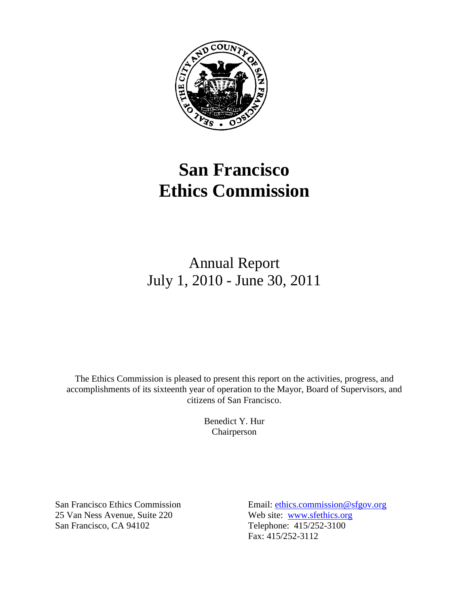

# **San Francisco Ethics Commission**

# Annual Report July 1, 2010 - June 30, 2011

The Ethics Commission is pleased to present this report on the activities, progress, and accomplishments of its sixteenth year of operation to the Mayor, Board of Supervisors, and citizens of San Francisco.

> Benedict Y. Hur Chairperson

25 Van Ness Avenue, Suite 220 Web site: [www.sfethics.org](http://www.sfgov.org/ethics) San Francisco, CA 94102 Telephone: 415/252-3100

San Francisco Ethics Commission Email: [ethics.commission@sfgov.org](mailto:ethics.commission@sfgov.org) Fax: 415/252-3112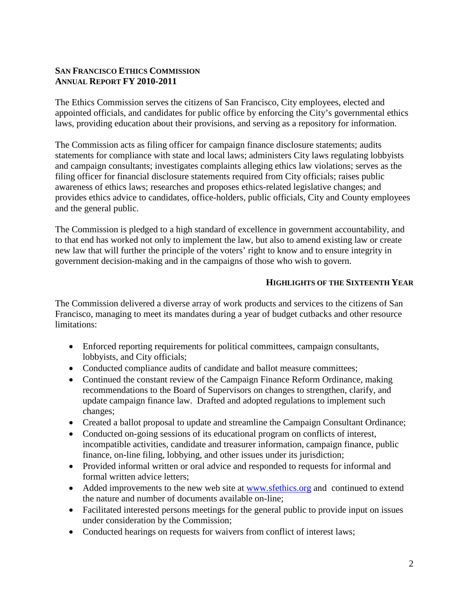## **SAN FRANCISCO ETHICS COMMISSION ANNUAL REPORT FY 2010-2011**

The Ethics Commission serves the citizens of San Francisco, City employees, elected and appointed officials, and candidates for public office by enforcing the City's governmental ethics laws, providing education about their provisions, and serving as a repository for information.

The Commission acts as filing officer for campaign finance disclosure statements; audits statements for compliance with state and local laws; administers City laws regulating lobbyists and campaign consultants; investigates complaints alleging ethics law violations; serves as the filing officer for financial disclosure statements required from City officials; raises public awareness of ethics laws; researches and proposes ethics-related legislative changes; and provides ethics advice to candidates, office-holders, public officials, City and County employees and the general public.

The Commission is pledged to a high standard of excellence in government accountability, and to that end has worked not only to implement the law, but also to amend existing law or create new law that will further the principle of the voters' right to know and to ensure integrity in government decision-making and in the campaigns of those who wish to govern.

#### **HIGHLIGHTS OF THE SIXTEENTH YEAR**

The Commission delivered a diverse array of work products and services to the citizens of San Francisco, managing to meet its mandates during a year of budget cutbacks and other resource limitations:

- Enforced reporting requirements for political committees, campaign consultants, lobbyists, and City officials;
- Conducted compliance audits of candidate and ballot measure committees;
- Continued the constant review of the Campaign Finance Reform Ordinance, making recommendations to the Board of Supervisors on changes to strengthen, clarify, and update campaign finance law. Drafted and adopted regulations to implement such changes;
- Created a ballot proposal to update and streamline the Campaign Consultant Ordinance;
- Conducted on-going sessions of its educational program on conflicts of interest, incompatible activities, candidate and treasurer information, campaign finance, public finance, on-line filing, lobbying, and other issues under its jurisdiction;
- Provided informal written or oral advice and responded to requests for informal and formal written advice letters;
- Added improvements to the new web site at [www.sfethics.org](http://www.sfethics.org/) and continued to extend the nature and number of documents available on-line;
- Facilitated interested persons meetings for the general public to provide input on issues under consideration by the Commission;
- Conducted hearings on requests for waivers from conflict of interest laws;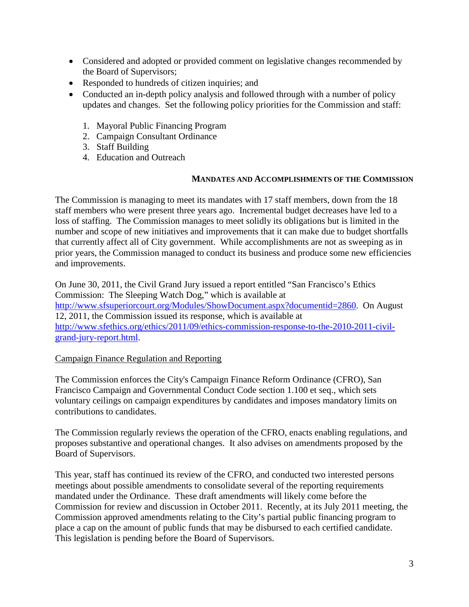- Considered and adopted or provided comment on legislative changes recommended by the Board of Supervisors;
- Responded to hundreds of citizen inquiries; and
- Conducted an in-depth policy analysis and followed through with a number of policy updates and changes. Set the following policy priorities for the Commission and staff:
	- 1. Mayoral Public Financing Program
	- 2. Campaign Consultant Ordinance
	- 3. Staff Building
	- 4. Education and Outreach

### **MANDATES AND ACCOMPLISHMENTS OF THE COMMISSION**

The Commission is managing to meet its mandates with 17 staff members, down from the 18 staff members who were present three years ago. Incremental budget decreases have led to a loss of staffing. The Commission manages to meet solidly its obligations but is limited in the number and scope of new initiatives and improvements that it can make due to budget shortfalls that currently affect all of City government. While accomplishments are not as sweeping as in prior years, the Commission managed to conduct its business and produce some new efficiencies and improvements.

On June 30, 2011, the Civil Grand Jury issued a report entitled "San Francisco's Ethics Commission: The Sleeping Watch Dog," which is available at [http://www.sfsuperiorcourt.org/Modules/ShowDocument.aspx?documentid=2860.](http://www.sfsuperiorcourt.org/Modules/ShowDocument.aspx?documentid=2860) On August 12, 2011, the Commission issued its response, which is available at [http://www.sfethics.org/ethics/2011/09/ethics-commission-response-to-the-2010-2011-civil](http://www.sfethics.org/ethics/2011/09/ethics-commission-response-to-the-2010-2011-civil-grand-jury-report.html)[grand-jury-report.html.](http://www.sfethics.org/ethics/2011/09/ethics-commission-response-to-the-2010-2011-civil-grand-jury-report.html)

# Campaign Finance Regulation and Reporting

The Commission enforces the City's Campaign Finance Reform Ordinance (CFRO), San Francisco Campaign and Governmental Conduct Code section 1.100 et seq., which sets voluntary ceilings on campaign expenditures by candidates and imposes mandatory limits on contributions to candidates.

The Commission regularly reviews the operation of the CFRO, enacts enabling regulations, and proposes substantive and operational changes. It also advises on amendments proposed by the Board of Supervisors.

This year, staff has continued its review of the CFRO, and conducted two interested persons meetings about possible amendments to consolidate several of the reporting requirements mandated under the Ordinance. These draft amendments will likely come before the Commission for review and discussion in October 2011. Recently, at its July 2011 meeting, the Commission approved amendments relating to the City's partial public financing program to place a cap on the amount of public funds that may be disbursed to each certified candidate. This legislation is pending before the Board of Supervisors.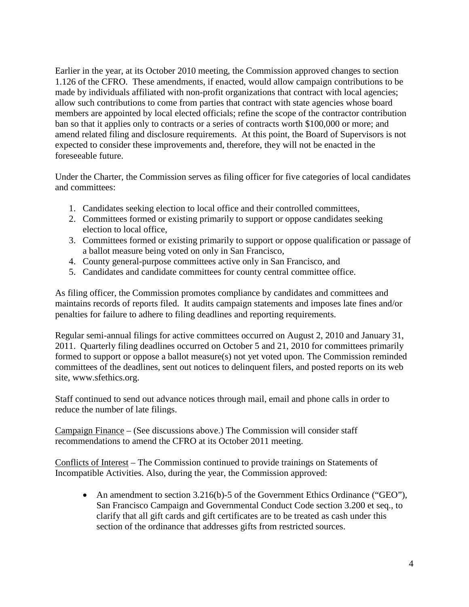Earlier in the year, at its October 2010 meeting, the Commission approved changes to section 1.126 of the CFRO. These amendments, if enacted, would allow campaign contributions to be made by individuals affiliated with non-profit organizations that contract with local agencies; allow such contributions to come from parties that contract with state agencies whose board members are appointed by local elected officials; refine the scope of the contractor contribution ban so that it applies only to contracts or a series of contracts worth \$100,000 or more; and amend related filing and disclosure requirements. At this point, the Board of Supervisors is not expected to consider these improvements and, therefore, they will not be enacted in the foreseeable future.

Under the Charter, the Commission serves as filing officer for five categories of local candidates and committees:

- 1. Candidates seeking election to local office and their controlled committees,
- 2. Committees formed or existing primarily to support or oppose candidates seeking election to local office,
- 3. Committees formed or existing primarily to support or oppose qualification or passage of a ballot measure being voted on only in San Francisco,
- 4. County general-purpose committees active only in San Francisco, and
- 5. Candidates and candidate committees for county central committee office.

As filing officer, the Commission promotes compliance by candidates and committees and maintains records of reports filed. It audits campaign statements and imposes late fines and/or penalties for failure to adhere to filing deadlines and reporting requirements.

Regular semi-annual filings for active committees occurred on August 2, 2010 and January 31, 2011. Quarterly filing deadlines occurred on October 5 and 21, 2010 for committees primarily formed to support or oppose a ballot measure(s) not yet voted upon. The Commission reminded committees of the deadlines, sent out notices to delinquent filers, and posted reports on its web site, www.sfethics.org.

Staff continued to send out advance notices through mail, email and phone calls in order to reduce the number of late filings.

Campaign Finance – (See discussions above.) The Commission will consider staff recommendations to amend the CFRO at its October 2011 meeting.

Conflicts of Interest – The Commission continued to provide trainings on Statements of Incompatible Activities. Also, during the year, the Commission approved:

• An amendment to section 3.216(b)-5 of the Government Ethics Ordinance ("GEO"), San Francisco Campaign and Governmental Conduct Code section 3.200 et seq., to clarify that all gift cards and gift certificates are to be treated as cash under this section of the ordinance that addresses gifts from restricted sources.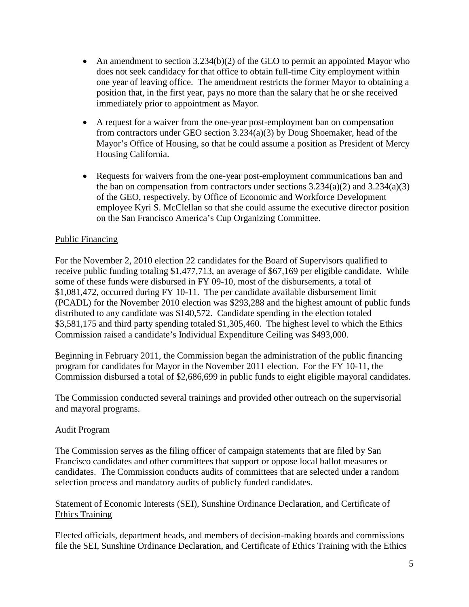- An amendment to section 3.234(b)(2) of the GEO to permit an appointed Mayor who does not seek candidacy for that office to obtain full-time City employment within one year of leaving office. The amendment restricts the former Mayor to obtaining a position that, in the first year, pays no more than the salary that he or she received immediately prior to appointment as Mayor.
- A request for a waiver from the one-year post-employment ban on compensation from contractors under GEO section 3.234(a)(3) by Doug Shoemaker, head of the Mayor's Office of Housing, so that he could assume a position as President of Mercy Housing California.
- Requests for waivers from the one-year post-employment communications ban and the ban on compensation from contractors under sections  $3.234(a)(2)$  and  $3.234(a)(3)$ of the GEO, respectively, by Office of Economic and Workforce Development employee Kyri S. McClellan so that she could assume the executive director position on the San Francisco America's Cup Organizing Committee.

# Public Financing

For the November 2, 2010 election 22 candidates for the Board of Supervisors qualified to receive public funding totaling \$1,477,713, an average of \$67,169 per eligible candidate. While some of these funds were disbursed in FY 09-10, most of the disbursements, a total of \$1,081,472, occurred during FY 10-11. The per candidate available disbursement limit (PCADL) for the November 2010 election was \$293,288 and the highest amount of public funds distributed to any candidate was \$140,572. Candidate spending in the election totaled \$3,581,175 and third party spending totaled \$1,305,460. The highest level to which the Ethics Commission raised a candidate's Individual Expenditure Ceiling was \$493,000.

Beginning in February 2011, the Commission began the administration of the public financing program for candidates for Mayor in the November 2011 election. For the FY 10-11, the Commission disbursed a total of \$2,686,699 in public funds to eight eligible mayoral candidates.

The Commission conducted several trainings and provided other outreach on the supervisorial and mayoral programs.

#### Audit Program

The Commission serves as the filing officer of campaign statements that are filed by San Francisco candidates and other committees that support or oppose local ballot measures or candidates. The Commission conducts audits of committees that are selected under a random selection process and mandatory audits of publicly funded candidates.

# Statement of Economic Interests (SEI), Sunshine Ordinance Declaration, and Certificate of Ethics Training

Elected officials, department heads, and members of decision-making boards and commissions file the SEI, Sunshine Ordinance Declaration, and Certificate of Ethics Training with the Ethics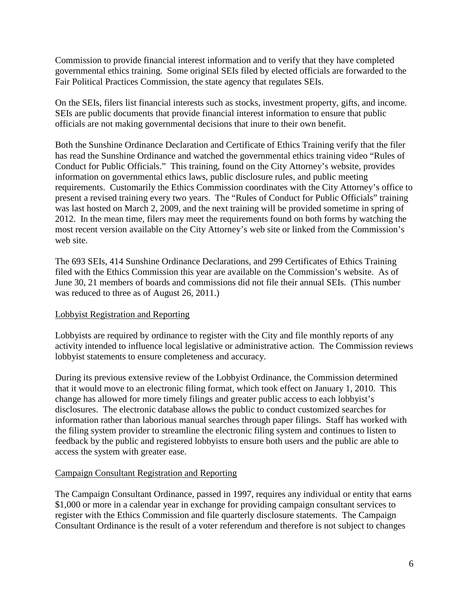Commission to provide financial interest information and to verify that they have completed governmental ethics training. Some original SEIs filed by elected officials are forwarded to the Fair Political Practices Commission, the state agency that regulates SEIs.

On the SEIs, filers list financial interests such as stocks, investment property, gifts, and income. SEIs are public documents that provide financial interest information to ensure that public officials are not making governmental decisions that inure to their own benefit.

Both the Sunshine Ordinance Declaration and Certificate of Ethics Training verify that the filer has read the Sunshine Ordinance and watched the governmental ethics training video "Rules of Conduct for Public Officials." This training, found on the City Attorney's website, provides information on governmental ethics laws, public disclosure rules, and public meeting requirements. Customarily the Ethics Commission coordinates with the City Attorney's office to present a revised training every two years. The "Rules of Conduct for Public Officials" training was last hosted on March 2, 2009, and the next training will be provided sometime in spring of 2012. In the mean time, filers may meet the requirements found on both forms by watching the most recent version available on the City Attorney's web site or linked from the Commission's web site.

The 693 SEIs, 414 Sunshine Ordinance Declarations, and 299 Certificates of Ethics Training filed with the Ethics Commission this year are available on the Commission's website. As of June 30, 21 members of boards and commissions did not file their annual SEIs. (This number was reduced to three as of August 26, 2011.)

# Lobbyist Registration and Reporting

Lobbyists are required by ordinance to register with the City and file monthly reports of any activity intended to influence local legislative or administrative action. The Commission reviews lobbyist statements to ensure completeness and accuracy.

During its previous extensive review of the Lobbyist Ordinance, the Commission determined that it would move to an electronic filing format, which took effect on January 1, 2010. This change has allowed for more timely filings and greater public access to each lobbyist's disclosures. The electronic database allows the public to conduct customized searches for information rather than laborious manual searches through paper filings. Staff has worked with the filing system provider to streamline the electronic filing system and continues to listen to feedback by the public and registered lobbyists to ensure both users and the public are able to access the system with greater ease.

# Campaign Consultant Registration and Reporting

The Campaign Consultant Ordinance, passed in 1997, requires any individual or entity that earns \$1,000 or more in a calendar year in exchange for providing campaign consultant services to register with the Ethics Commission and file quarterly disclosure statements. The Campaign Consultant Ordinance is the result of a voter referendum and therefore is not subject to changes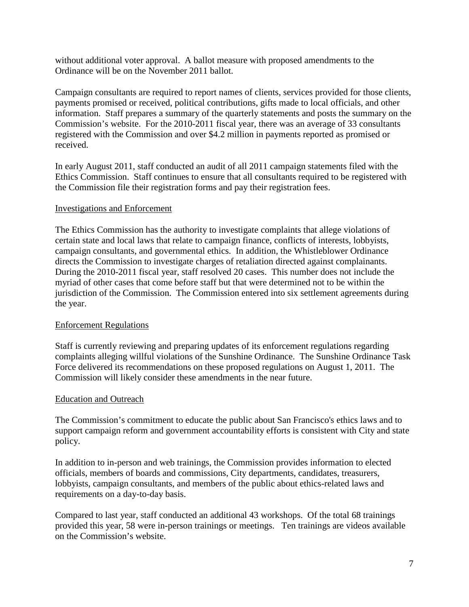without additional voter approval. A ballot measure with proposed amendments to the Ordinance will be on the November 2011 ballot.

Campaign consultants are required to report names of clients, services provided for those clients, payments promised or received, political contributions, gifts made to local officials, and other information. Staff prepares a summary of the quarterly statements and posts the summary on the Commission's website. For the 2010-2011 fiscal year, there was an average of 33 consultants registered with the Commission and over \$4.2 million in payments reported as promised or received.

In early August 2011, staff conducted an audit of all 2011 campaign statements filed with the Ethics Commission. Staff continues to ensure that all consultants required to be registered with the Commission file their registration forms and pay their registration fees.

### Investigations and Enforcement

The Ethics Commission has the authority to investigate complaints that allege violations of certain state and local laws that relate to campaign finance, conflicts of interests, lobbyists, campaign consultants, and governmental ethics. In addition, the Whistleblower Ordinance directs the Commission to investigate charges of retaliation directed against complainants. During the 2010-2011 fiscal year, staff resolved 20 cases. This number does not include the myriad of other cases that come before staff but that were determined not to be within the jurisdiction of the Commission. The Commission entered into six settlement agreements during the year.

# Enforcement Regulations

Staff is currently reviewing and preparing updates of its enforcement regulations regarding complaints alleging willful violations of the Sunshine Ordinance. The Sunshine Ordinance Task Force delivered its recommendations on these proposed regulations on August 1, 2011. The Commission will likely consider these amendments in the near future.

#### Education and Outreach

The Commission's commitment to educate the public about San Francisco's ethics laws and to support campaign reform and government accountability efforts is consistent with City and state policy.

In addition to in-person and web trainings, the Commission provides information to elected officials, members of boards and commissions, City departments, candidates, treasurers, lobbyists, campaign consultants, and members of the public about ethics-related laws and requirements on a day-to-day basis.

Compared to last year, staff conducted an additional 43 workshops. Of the total 68 trainings provided this year, 58 were in-person trainings or meetings. Ten trainings are videos available on the Commission's website.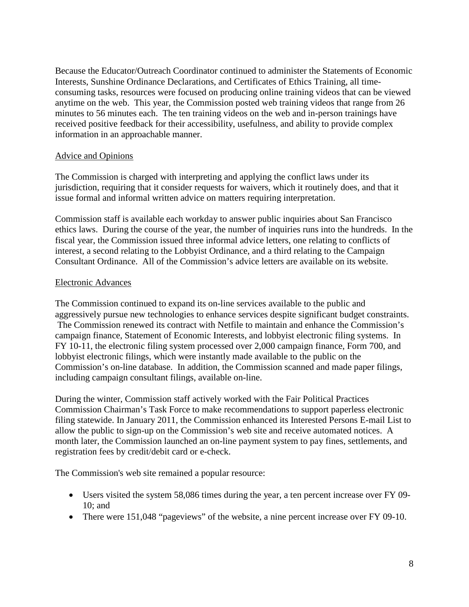Because the Educator/Outreach Coordinator continued to administer the Statements of Economic Interests, Sunshine Ordinance Declarations, and Certificates of Ethics Training, all timeconsuming tasks, resources were focused on producing online training videos that can be viewed anytime on the web. This year, the Commission posted web training videos that range from 26 minutes to 56 minutes each. The ten training videos on the web and in-person trainings have received positive feedback for their accessibility, usefulness, and ability to provide complex information in an approachable manner.

#### Advice and Opinions

The Commission is charged with interpreting and applying the conflict laws under its jurisdiction, requiring that it consider requests for waivers, which it routinely does, and that it issue formal and informal written advice on matters requiring interpretation.

Commission staff is available each workday to answer public inquiries about San Francisco ethics laws. During the course of the year, the number of inquiries runs into the hundreds. In the fiscal year, the Commission issued three informal advice letters, one relating to conflicts of interest, a second relating to the Lobbyist Ordinance, and a third relating to the Campaign Consultant Ordinance. All of the Commission's advice letters are available on its website.

### Electronic Advances

The Commission continued to expand its on-line services available to the public and aggressively pursue new technologies to enhance services despite significant budget constraints. The Commission renewed its contract with Netfile to maintain and enhance the Commission's campaign finance, Statement of Economic Interests, and lobbyist electronic filing systems. In FY 10-11, the electronic filing system processed over 2,000 campaign finance, Form 700, and lobbyist electronic filings, which were instantly made available to the public on the Commission's on-line database. In addition, the Commission scanned and made paper filings, including campaign consultant filings, available on-line.

During the winter, Commission staff actively worked with the Fair Political Practices Commission Chairman's Task Force to make recommendations to support paperless electronic filing statewide. In January 2011, the Commission enhanced its Interested Persons E-mail List to allow the public to sign-up on the Commission's web site and receive automated notices. A month later, the Commission launched an on-line payment system to pay fines, settlements, and registration fees by credit/debit card or e-check.

The Commission's web site remained a popular resource:

- Users visited the system 58,086 times during the year, a ten percent increase over FY 09-10; and
- There were 151,048 "pageviews" of the website, a nine percent increase over FY 09-10.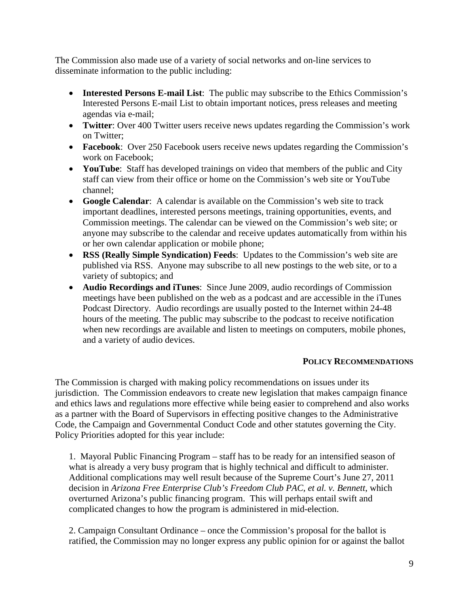The Commission also made use of a variety of social networks and on-line services to disseminate information to the public including:

- **Interested Persons E-mail List**: The public may subscribe to the Ethics Commission's Interested Persons E-mail List to obtain important notices, press releases and meeting agendas via e-mail;
- **Twitter**: Over 400 Twitter users receive news updates regarding the Commission's work on Twitter;
- **Facebook**: Over 250 Facebook users receive news updates regarding the Commission's work on Facebook;
- **YouTube:** Staff has developed trainings on video that members of the public and City staff can view from their office or home on the Commission's web site or YouTube channel;
- **Google Calendar**: A calendar is available on the Commission's web site to track important deadlines, interested persons meetings, training opportunities, events, and Commission meetings. The calendar can be viewed on the Commission's web site; or anyone may subscribe to the calendar and receive updates automatically from within his or her own calendar application or mobile phone;
- **RSS (Really Simple Syndication) Feeds**: Updates to the Commission's web site are published via RSS. Anyone may subscribe to all new postings to the web site, or to a variety of subtopics; and
- **Audio Recordings and iTunes**: Since June 2009, audio recordings of Commission meetings have been published on the web as a podcast and are accessible in the iTunes Podcast Directory. Audio recordings are usually posted to the Internet within 24-48 hours of the meeting. The public may subscribe to the podcast to receive notification when new recordings are available and listen to meetings on computers, mobile phones, and a variety of audio devices.

#### **POLICY RECOMMENDATIONS**

The Commission is charged with making policy recommendations on issues under its jurisdiction. The Commission endeavors to create new legislation that makes campaign finance and ethics laws and regulations more effective while being easier to comprehend and also works as a partner with the Board of Supervisors in effecting positive changes to the Administrative Code, the Campaign and Governmental Conduct Code and other statutes governing the City. Policy Priorities adopted for this year include:

1. Mayoral Public Financing Program – staff has to be ready for an intensified season of what is already a very busy program that is highly technical and difficult to administer. Additional complications may well result because of the Supreme Court's June 27, 2011 decision in *Arizona Free Enterprise Club's Freedom Club PAC, et al. v. Bennett*, which overturned Arizona's public financing program. This will perhaps entail swift and complicated changes to how the program is administered in mid-election.

2. Campaign Consultant Ordinance – once the Commission's proposal for the ballot is ratified, the Commission may no longer express any public opinion for or against the ballot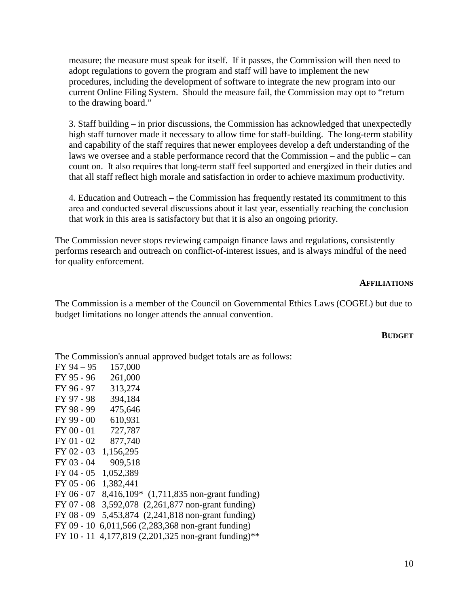measure; the measure must speak for itself. If it passes, the Commission will then need to adopt regulations to govern the program and staff will have to implement the new procedures, including the development of software to integrate the new program into our current Online Filing System. Should the measure fail, the Commission may opt to "return to the drawing board."

3. Staff building – in prior discussions, the Commission has acknowledged that unexpectedly high staff turnover made it necessary to allow time for staff-building. The long-term stability and capability of the staff requires that newer employees develop a deft understanding of the laws we oversee and a stable performance record that the Commission – and the public – can count on. It also requires that long-term staff feel supported and energized in their duties and that all staff reflect high morale and satisfaction in order to achieve maximum productivity.

4. Education and Outreach – the Commission has frequently restated its commitment to this area and conducted several discussions about it last year, essentially reaching the conclusion that work in this area is satisfactory but that it is also an ongoing priority.

The Commission never stops reviewing campaign finance laws and regulations, consistently performs research and outreach on conflict-of-interest issues, and is always mindful of the need for quality enforcement.

#### **AFFILIATIONS**

The Commission is a member of the Council on Governmental Ethics Laws (COGEL) but due to budget limitations no longer attends the annual convention.

#### **BUDGET**

The Commission's annual approved budget totals are as follows:  $FXO4 = 05 = 157,000$ 

| FY 94 – 95   | UUU.\CI                                   |
|--------------|-------------------------------------------|
| FY 95 - 96   | 261,000                                   |
| FY 96 - 97   | 313,274                                   |
| FY 97 - 98   | 394,184                                   |
| FY 98 - 99   | 475,646                                   |
| FY 99 - 00   | 610,931                                   |
| $FY$ 00 - 01 | 727,787                                   |
| $FY$ 01 - 02 | 877,740                                   |
| FY 02 - 03   | 1,156,295                                 |
| FY 03 - 04   | 909,518                                   |
| $FY$ 04 - 05 | 1,052,389                                 |
| $FY$ 05 - 06 | 1,382,441                                 |
| FY 06 - 07   | 8,416,109* (1,711,835 non-grant funding)  |
| FY 07 - 08   | 3,592,078 (2,261,877 non-grant funding)   |
| FY 08 - 09   | 5,453,874 (2,241,818 non-grant funding)   |
| FY 09 - 10   | 6,011,566 (2,283,368 non-grant funding)   |
| FY 10 - 11   | 4,177,819 (2,201,325 non-grant funding)** |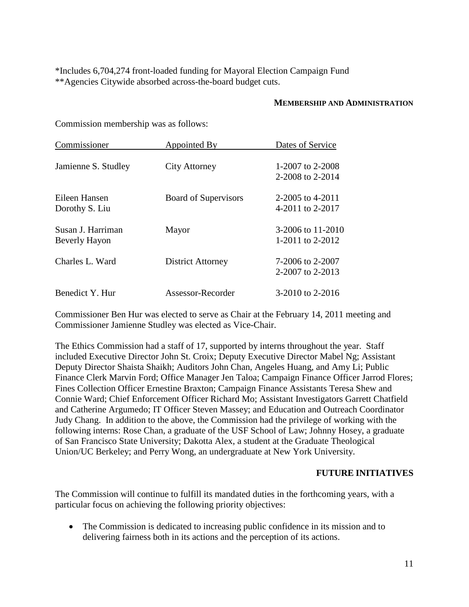\*Includes 6,704,274 front-loaded funding for Mayoral Election Campaign Fund \*\*Agencies Citywide absorbed across-the-board budget cuts.

#### **MEMBERSHIP AND ADMINISTRATION**

Commission membership was as follows:

| Commissioner                       | Appointed By                | Dates of Service                      |
|------------------------------------|-----------------------------|---------------------------------------|
| Jamienne S. Studley                | City Attorney               | 1-2007 to 2-2008<br>2-2008 to 2-2014  |
| Eileen Hansen<br>Dorothy S. Liu    | <b>Board of Supervisors</b> | 2-2005 to 4-2011<br>4-2011 to 2-2017  |
| Susan J. Harriman<br>Beverly Hayon | Mayor                       | 3-2006 to 11-2010<br>1-2011 to 2-2012 |
| Charles L. Ward                    | <b>District Attorney</b>    | 7-2006 to 2-2007<br>2-2007 to 2-2013  |
| Benedict Y. Hur                    | Assessor-Recorder           | 3-2010 to 2-2016                      |

Commissioner Ben Hur was elected to serve as Chair at the February 14, 2011 meeting and Commissioner Jamienne Studley was elected as Vice-Chair.

The Ethics Commission had a staff of 17, supported by interns throughout the year. Staff included Executive Director John St. Croix; Deputy Executive Director Mabel Ng; Assistant Deputy Director Shaista Shaikh; Auditors John Chan, Angeles Huang, and Amy Li; Public Finance Clerk Marvin Ford; Office Manager Jen Taloa; Campaign Finance Officer Jarrod Flores; Fines Collection Officer Ernestine Braxton; Campaign Finance Assistants Teresa Shew and Connie Ward; Chief Enforcement Officer Richard Mo; Assistant Investigators Garrett Chatfield and Catherine Argumedo; IT Officer Steven Massey; and Education and Outreach Coordinator Judy Chang. In addition to the above, the Commission had the privilege of working with the following interns: Rose Chan, a graduate of the USF School of Law; Johnny Hosey, a graduate of San Francisco State University; Dakotta Alex, a student at the Graduate Theological Union/UC Berkeley; and Perry Wong, an undergraduate at New York University.

#### **FUTURE INITIATIVES**

The Commission will continue to fulfill its mandated duties in the forthcoming years, with a particular focus on achieving the following priority objectives:

• The Commission is dedicated to increasing public confidence in its mission and to delivering fairness both in its actions and the perception of its actions.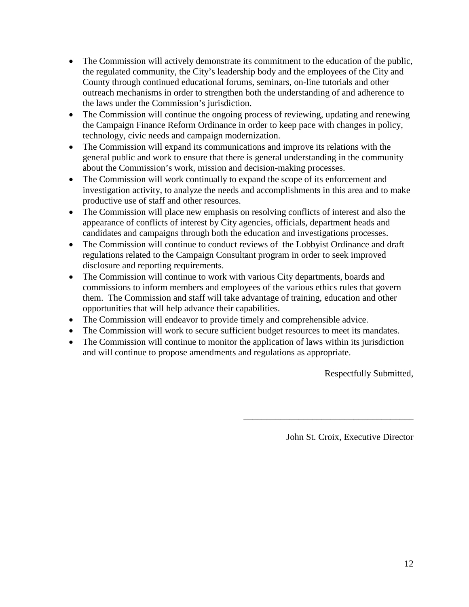- The Commission will actively demonstrate its commitment to the education of the public, the regulated community, the City's leadership body and the employees of the City and County through continued educational forums, seminars, on-line tutorials and other outreach mechanisms in order to strengthen both the understanding of and adherence to the laws under the Commission's jurisdiction.
- The Commission will continue the ongoing process of reviewing, updating and renewing the Campaign Finance Reform Ordinance in order to keep pace with changes in policy, technology, civic needs and campaign modernization.
- The Commission will expand its communications and improve its relations with the general public and work to ensure that there is general understanding in the community about the Commission's work, mission and decision-making processes.
- The Commission will work continually to expand the scope of its enforcement and investigation activity, to analyze the needs and accomplishments in this area and to make productive use of staff and other resources.
- The Commission will place new emphasis on resolving conflicts of interest and also the appearance of conflicts of interest by City agencies, officials, department heads and candidates and campaigns through both the education and investigations processes.
- The Commission will continue to conduct reviews of the Lobbyist Ordinance and draft regulations related to the Campaign Consultant program in order to seek improved disclosure and reporting requirements.
- The Commission will continue to work with various City departments, boards and commissions to inform members and employees of the various ethics rules that govern them. The Commission and staff will take advantage of training, education and other opportunities that will help advance their capabilities.
- The Commission will endeavor to provide timely and comprehensible advice.
- The Commission will work to secure sufficient budget resources to meet its mandates.
- The Commission will continue to monitor the application of laws within its jurisdiction and will continue to propose amendments and regulations as appropriate.

Respectfully Submitted,

John St. Croix, Executive Director

\_\_\_\_\_\_\_\_\_\_\_\_\_\_\_\_\_\_\_\_\_\_\_\_\_\_\_\_\_\_\_\_\_\_\_\_\_